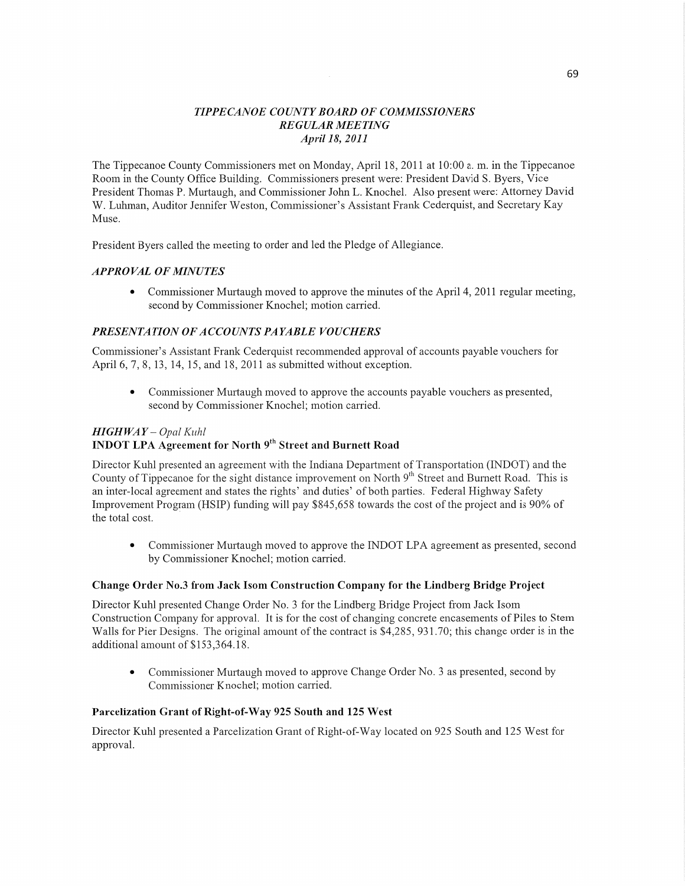## *TIPPE CANOE* C0 UN *T Y BOARD* OF *COMMISSIONERS REGULAR MEETING April* 18, *2011*

The Tippecanoe County Commissioners met on Monday, April 18, 2011 at 10:00 a.m. in the Tippecanoe Room in the County Office Building. Commissioners present were: President David S. Byers, Vice President Thomas P. Murtaugh, and Commissioner John L. Knochel. Also present were: Attorney David W. Luhman, Auditor Jennifer Weston, Commissioner's Assistant Frank Cederquist, and Secretary Kay Muse.

President Byers called the meeting to order and led the Pledge of Allegiance.

## *APPROVAL* OF *MINUTES*

• Commissioner Murtaugh moved to approve the minutes of the April 4, 2011 regular meeting, second by Commissioner Knochel; motion carried.

## *PRESENTATION* OF *ACCOUNTS PAYABLE VOUCHERS*

Commissioner's Assistant Frank Cederquist recommended approval of accounts payable vouchers for April 6, 7, 8, 13, 14, 15, and 18, 2011 as submitted Without exception.

**0** Commissioner Murtaugh moved to approve the accounts payable vouchers as presented, second by Commissioner Knochel; motion carried.

## *HIGHWAY — Opal Kuhl*

# **INDOT LPA Agreement for North 9<sup>th</sup> Street and Burnett Road**

Director Kuhl presented an agreement with the Indiana Department of Transportation (INDOT) and the County of Tippecanoe for the sight distance improvement on North 9<sup>th</sup> Street and Burnett Road. This is an inter-local agreement and states the rights' and duties' of both parties. Federal Highway Safety Improvement Program (HSIP) funding will pay \$845,658 towards the cost of the project and is 90% of the total cost.

**0** Commissioner Murtaugh moved to approve the INDOT LPA agreement as presented, second by Commissioner Knochel; motion carried.

### Change Order **No.3** from **Jack** Isom Construction **Company** for the Lindberg Bridge **Project**

Director Kuhl presented Change Order No. 3 for the Lindberg Bridge Project from Jack Isom Construction Company for approval. It is for the cost of changing concrete encasements of Piles to Stem Walls for Pier Designs. The original amount of the contract is \$4,285, 931.70; this change order is in the additional amount of \$153,364.18.

• Commissioner Murtaugh moved to approve Change Order No. 3 as presented, second by Commissioner Knochel; motion carried.

### **Parcelization** Grant of Right-of-Way 925 **South** and 125 **West**

Director Kuhl presented a Parcelization Grant of Right-of—Way located on 925 South and 125 West for approval.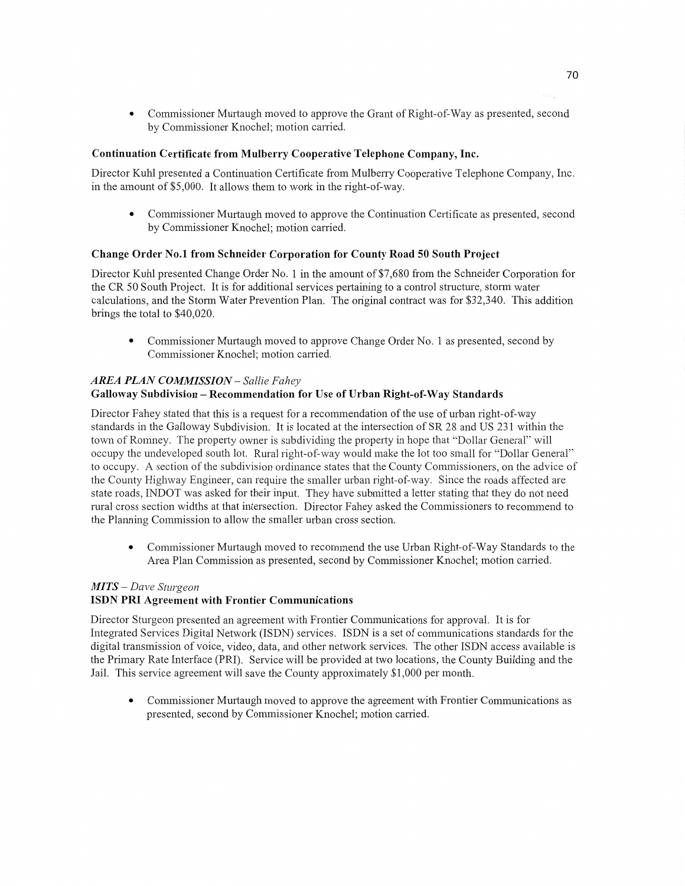• Commissioner Murtaugh moved to approve the Grant of Right-of-Way as presented, second by Commissioner Knochel; **motion** carried.

## **Continuation Certificate** from Mulberry **Cooperative Telephone** Company, Inc.

Director Kuhl presented a Continuation Certificate from Mulben'y Cooperative Telephone Company, Inc. in the **amount** of \$5,000. It allows **them** to work in the right-of—way.

**0** Commissioner Murtaugh moved to approve the Continuation Certificate as presented, second by Commissioner Knochel; motion carried.

## **Change** Order **No.1** from Schneider Corporation for **County Road** 50 **South Project**

Director Kuhl presented Change Order No. **1** in the amount of \$7,680 from the Schneider Corporation for the CR 50 South Project. It is for additional services pertaining to a control structure, storm water calculations, and the Storm Water Prevention Plan. The original contract was for \$32,340. **This** addition brings the total to \$40,020.

• Commissioner Murtaugh moved to approve Change Order No. 1 as presented, second by Commissioner Knochel; motion carried.

## *AREA PLAN COMMISSION* — *Sallie Fahey*  **Galloway** Subdivision **— Recommendation** for Use of **Urban Right-of-Way Standards**

Director Fahey stated that this is a request for a recommendation of the use of urban right-of-way standards in the Galloway Subdivision. It is located at the intersection of SR 28 and US 231 within the town of Romney. The property owner is subdividing the property in hope that "Dollar General" will occupy the undeveloped south lot. Rural right-of-way would make the lot too small for "Dollar General" to occupy. **A** section of the subdivision ordinance states that the County Commissioners, on the advice of the County Highway Engineer, can require the smaller urban right-of-way. Since the roads affected are state roads, INDOT was asked for their input. They have submitted a letter stating that they do not need rural cross section widths at that intersection. Director Fahey asked the Commissioners to recommend to the Planning Commission to allow the smaller urban cross section.

**0** Commissioner Murtaugh moved to recommend the use Urban Right-of—Way Standards to the Area Plan Commission as presented, second by Commissioner Knochel; motion carried.

# *MITS* **—** *Dave Sturgeon*  **ISDN** PRI **Agreement with Frontier Communications**

Director Sturgeon presented an agreement with Frontier Communications for approval. It is for Integrated Services Digital Network (ISDN) services. ISDN is a set of communications standards for the digital transmission of voice, video, data, and other network services. The other ISDN access available is the Primary Rate Interface (PR1). Service will be provided at two locations, the County Building and the Jail. This service agreement will save the County approximately \$1,000 per **month.** 

**<sup>0</sup>**Commissioner Murtaugh moved to approve the agreement with Frontier Communications as presented, second by Commissioner Knochel; **motion** carried.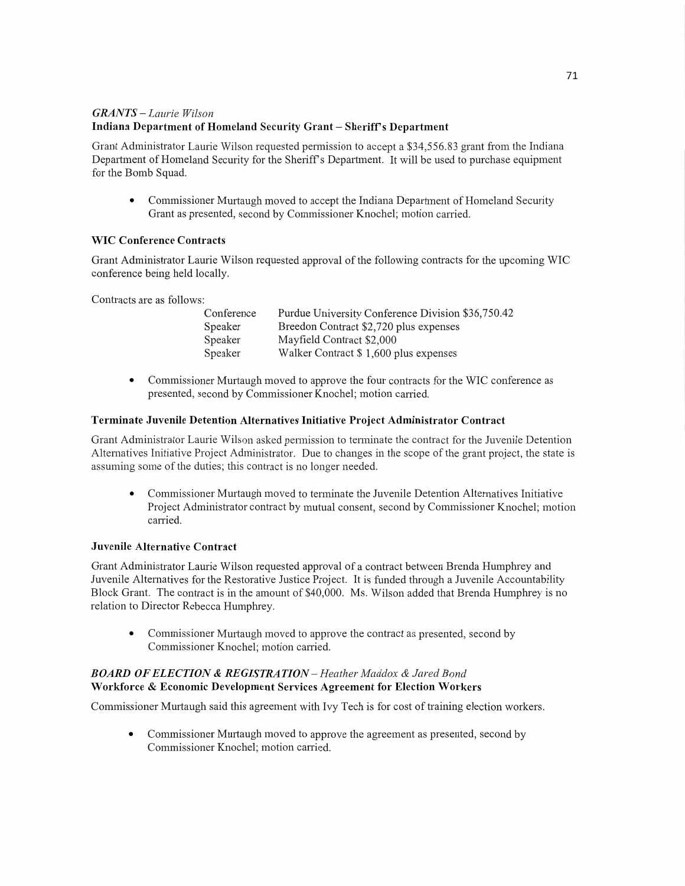## *GRANTS* — *Laurie Wilson*  **Indiana Department** of **Homeland Security Grant — Sheriff's Department**

Grant Administrator Laurie Wilson requested pennission to accept a \$34,556.83 grant from the Indiana Department of Homeland Security for the Sheriff's Department. It will be used to purchase equipment for the Bomb Squad.

**0** Commissioner Murtaugh moved to accept the **Indiana** Department of Homeland Security Grant as presented, second by Commissioner Knochel; motion carried.

## WIC **Conference Contracts**

Grant Administrator Laurie Wilson requested approval of the following contracts for the upcoming WIC conference being held locally.

Contracts are as follows:

| Conference | Purdue University Conference Division \$36,750.42 |
|------------|---------------------------------------------------|
| Speaker    | Breedon Contract \$2,720 plus expenses            |
| Speaker    | Mayfield Contract \$2,000                         |
| Speaker    | Walker Contract \$1,600 plus expenses             |

**0** Commissioner Murtaugh moved to approve the four contracts for the WIC conference as presented, second by Commissioner Knochel; **motion** carried.

# **Terminate** Juvenile Detention Alternatives Initiative **Project** Administrator **Contract**

Grant Administrator Laurie Wilson asked permission to tenninate the contract for the Juvenile Detention Altematives Initiative Project Administrator. Due to changes in the scope of the grant project, the state is assuming some of the duties; this contract is no longer needed.

**0** Commissioner Murtaugh moved to terminate the Juvenile Detention Alternatives Initiative Project Administrator contract by mutual consent, second by Commissioner Knochcl; **motion**  carried.

## **Juvenile Alternative Contract**

Grant Administrator Laurie Wilson requested approval of **a** contract between Brenda Humphrey and Juvenile Alternatives for the Restorative Justice Project. It is funded through a Juvenile Accountability Block Grant. The contract is in the amount of \$40,000. Ms. Wilson added that Brenda Humphrey is no relation to Director Rebecca Humphrey.

**0** Commissioner Murtaugh moved to approve the contract as presented, second by Commissioner Knochel; **motion** carried.

# *BOARD* OF *ELECTION & REGISTRATION* — *Heather Maddox & Jared Bond*  **Workforce** *&* **Economic** Development Services **Agreement** for **Election Workers**

Commissioner Murtaugh said **this** agreement with Ivy Tech is for cost of training election workers.

**0** Commissioner Murtaugh moved to approve the agreement as presented, **second** by Commissioner Knochel; **motion** carried.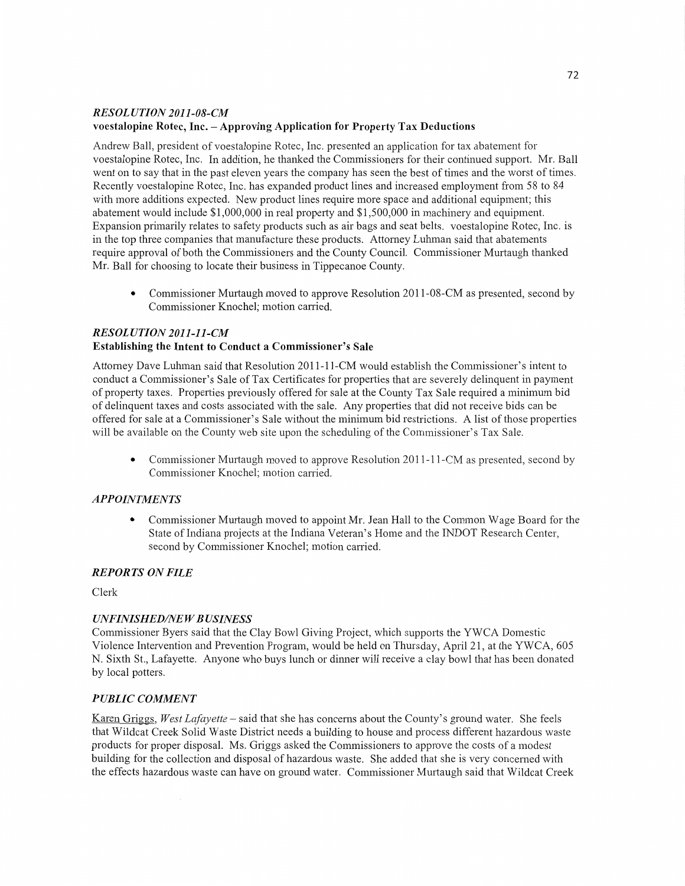## *RESOL UTION 2011-08-CM*  **voestalopine Rotec, Inc. —** Approving **Application** for **Property** Tax **Deductions**

Andrew Ball, president of voestalopine Rotec, Inc. presented an application for tax abatement for voestalopine Rotec, Inc. In addition, he **thanked** the Commissioners for their continued support. Mr. Ball went on to say that in the past eleven years the company has seen the best of times and the worst of times. Recently voestalopine Rotec, Inc. has expanded product lines and increased employment from 58 to 84 with more additions expected. New product lines require more space and additional equipment; this abatement would include  $$1,000,000$  in real property and  $$1,500,000$  in machinery and equipment. **Expansion** primarily relates to safety products such as air bags and seat belts. voestalopine Rotec, Inc. is in the top three companies **that** manufacture these products. Attorney Luhman **said** that abatements require approval of both the Commissioners and the County Council. Commissioner Murtaugh **thanked**  Mr. Ball for choosing to locate their business in Tippecanoe County.

• Commissioner Murtaugh moved to approve Resolution 2011-08-CM as presented, second by Commissioner Knochel; **motion** carried.

## *RESOLUTION 2011-11-CM*

### **Establishing** the Intent to **Conduct 3 Commissioner's Sale**

Attorney Dave Luhman said **that** Resolution 2011—11—CM would establish the Commissioner's intent to conduct a Commissioner's Sale of Tax Certificates for properties that are severely delinquent in payment of property taxes. Properties previously offered for sale at the County Tax Sale required a **minimum** bid of delinquent taxes and costs associated with the sale. Any properties that did not receive bids can be offered for sale at a Commissioner's Sale without the minimum bid restrictions. **A** list of those properties will be available on the County web site upon the scheduling of the Commissioner's Tax Sale.

• Commissioner Murtaugh moved to approve Resolution 2011-11-CM as presented, second by Commissioner Knochel; motion carried.

### *APPOINTMENTS*

**0** Commissioner Murtaugh moved to appoint Mr. Jean Hall to the Common Wage Board for the State of Indiana projects at the Indiana Veteran's Home and the INDOT Research Center, second by Commissioner Knochel; motion carried.

## *REPORTS* ON *FILE*

Clerk

### *UNFINISHED/NE* WB *USINESS*

Commissioner Byers said that the Clay Bowl Giving Project, which supports the YWCA Domestic Violence Intervention and Prevention Program, would be held on Thursday, April 21, at the YWCA, 605 N. Sixth St., Lafayette. Anyone who buys lunch or dinner will receive a clay bowl that has been donated by local potters.

### *PUBLIC COMMENT*

Karen Griggs, *West Lafayette* — said that she has concerns about the County's ground water. She feels **that** Wildcat Creek Solid Waste District needs **a** building to house and process different hazardous waste products for proper disposal. Ms. Griggs asked the Commissioners to approve the costs of a modest building for the collection and disposal of hazardous waste. She added that she is very concemed with the effects hazardous waste can have on ground water. Commissioner Muftaugh said that Wildcat Creek